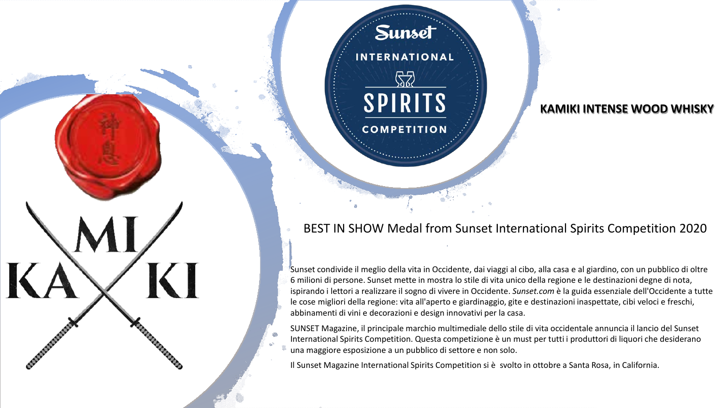Sunset condivide il meglio della vita in Occidente, dai viaggi al cibo, alla casa e al giardino, con un pubblico di oltre 6 milioni di persone. Sunset mette in mostra lo stile di vita unico della regione e le destinazioni degne di nota, ispirando i lettori a realizzare il sogno di vivere in Occidente. *Sunset.com* è la guida essenziale dell'Occidente a tutte le cose migliori della regione: vita all'aperto e giardinaggio, gite e destinazioni inaspettate, cibi veloci e freschi, abbinamenti di vini e decorazioni e design innovativi per la casa.

BEST IN SHOW Medal from Sunset International Spirits Competition 2020

SUNSET Magazine, il principale marchio multimediale dello stile di vita occidentale annuncia il lancio del Sunset International Spirits Competition. Questa competizione è un must per tutti i produttori di liquori che desiderano una maggiore esposizione a un pubblico di settore e non solo.

Il Sunset Magazine International Spirits Competition si è svolto in ottobre a Santa Rosa, in California.

**Sunset** 

**INTERNATIONAL** 

52

**SPIRITS** 

**COMPETITION** 

KI

## **KAMIKI INTENSE WOOD WHISKY**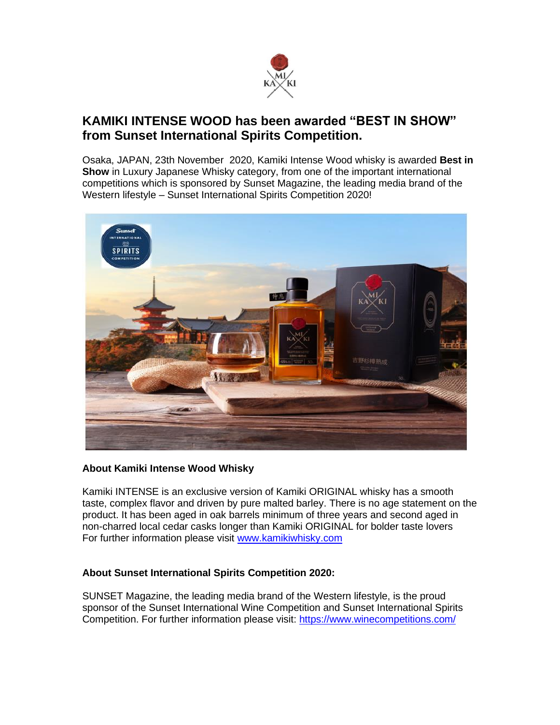

## **KAMIKI INTENSE WOOD has been awarded "BEST IN SHOW" from Sunset International Spirits Competition.**

Osaka, JAPAN, 23th November 2020, Kamiki Intense Wood whisky is awarded **Best in Show** in Luxury Japanese Whisky category, from one of the important international competitions which is sponsored by Sunset Magazine, the leading media brand of the Western lifestyle – Sunset International Spirits Competition 2020!



### **About.Kamiki Intense Wood Whisky**

Kamiki INTENSE is an exclusive version of Kamiki ORIGINAL whisky has a smooth taste, complex flavor and driven by pure malted barley. There is no age statement on the product. It has been aged in oak barrels minimum of three years and second aged in non-charred local cedar casks longer than Kamiki ORIGINAL for bolder taste lovers For further information please visit [www.kamikiwhisky.com](http://www.kamikiwhisky.com/)

### **About Sunset International Spirits Competition 2020:**

SUNSET Magazine, the leading media brand of the Western lifestyle, is the proud sponsor of the Sunset International Wine Competition and Sunset International Spirits Competition. For further information please visit:<https://www.winecompetitions.com/>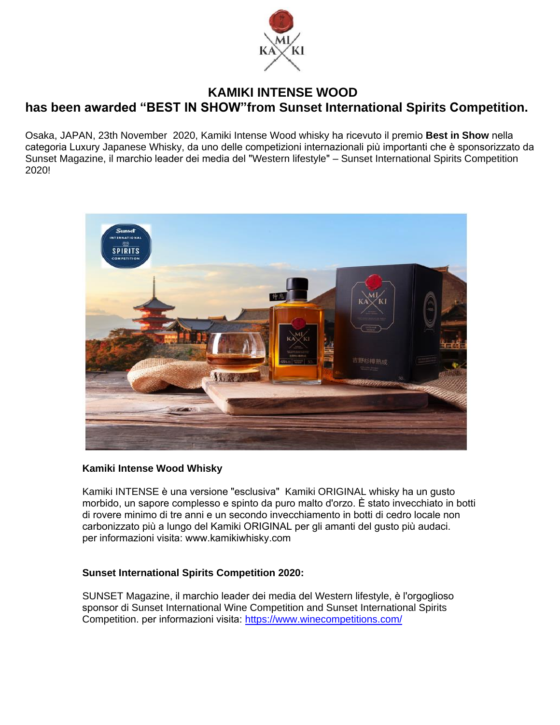

## **KAMIKI INTENSE WOOD has been awarded "BEST IN SHOW"from Sunset International Spirits Competition.**

Osaka, JAPAN, 23th November 2020, Kamiki Intense Wood whisky ha ricevuto il premio **Best in Show** nella categoria Luxury Japanese Whisky, da uno delle competizioni internazionali più importanti che è sponsorizzato da Sunset Magazine, il marchio leader dei media del "Western lifestyle" – Sunset International Spirits Competition 2020!



### **Kamiki Intense Wood Whisky**

Kamiki INTENSE è una versione "esclusiva" Kamiki ORIGINAL whisky ha un gusto morbido, un sapore complesso e spinto da puro malto d'orzo. È stato invecchiato in botti di rovere minimo di tre anni e un secondo invecchiamento in botti di cedro locale non carbonizzato più a lungo del Kamiki ORIGINAL per gli amanti del gusto più audaci. per informazioni visita: www.kami[kiwhisky.com](http://www.kamikiwhisky.com/)

#### **Sunset International Spirits Competition 2020:**

SUNSET Magazine, il marchio leader dei media del Western lifestyle, è l'orgoglioso sponsor di Sunset International Wine Competition and Sunset International Spirits Competition. per informazioni visita: https://ww[w.winecompetitions.com/](https://www.winecompetitions.com/)